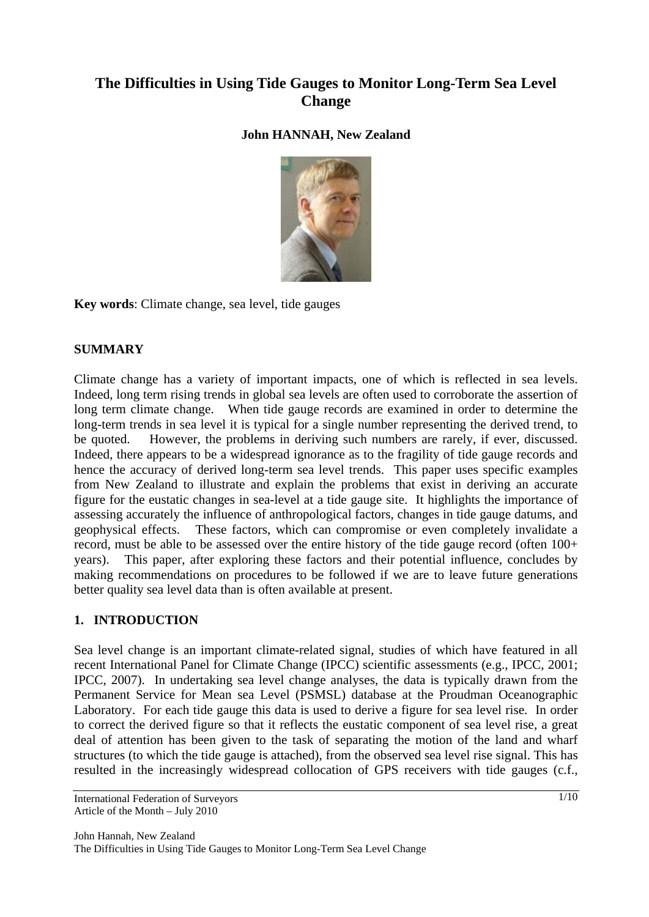# **The Difficulties in Using Tide Gauges to Monitor Long-Term Sea Level Change**

# **John HANNAH, New Zealand**



**Key words**: Climate change, sea level, tide gauges

## **SUMMARY**

Climate change has a variety of important impacts, one of which is reflected in sea levels. Indeed, long term rising trends in global sea levels are often used to corroborate the assertion of long term climate change. When tide gauge records are examined in order to determine the long-term trends in sea level it is typical for a single number representing the derived trend, to be quoted. However, the problems in deriving such numbers are rarely, if ever, discussed. Indeed, there appears to be a widespread ignorance as to the fragility of tide gauge records and hence the accuracy of derived long-term sea level trends. This paper uses specific examples from New Zealand to illustrate and explain the problems that exist in deriving an accurate figure for the eustatic changes in sea-level at a tide gauge site. It highlights the importance of assessing accurately the influence of anthropological factors, changes in tide gauge datums, and geophysical effects. These factors, which can compromise or even completely invalidate a record, must be able to be assessed over the entire history of the tide gauge record (often 100+ years). This paper, after exploring these factors and their potential influence, concludes by making recommendations on procedures to be followed if we are to leave future generations better quality sea level data than is often available at present.

## **1. INTRODUCTION**

Sea level change is an important climate-related signal, studies of which have featured in all recent International Panel for Climate Change (IPCC) scientific assessments (e.g., IPCC, 2001; IPCC, 2007). In undertaking sea level change analyses, the data is typically drawn from the Permanent Service for Mean sea Level (PSMSL) database at the Proudman Oceanographic Laboratory. For each tide gauge this data is used to derive a figure for sea level rise. In order to correct the derived figure so that it reflects the eustatic component of sea level rise, a great deal of attention has been given to the task of separating the motion of the land and wharf structures (to which the tide gauge is attached), from the observed sea level rise signal. This has resulted in the increasingly widespread collocation of GPS receivers with tide gauges (c.f.,

John Hannah, New Zealand The Difficulties in Using Tide Gauges to Monitor Long-Term Sea Level Change

International Federation of Surveyors Article of the Month – July 2010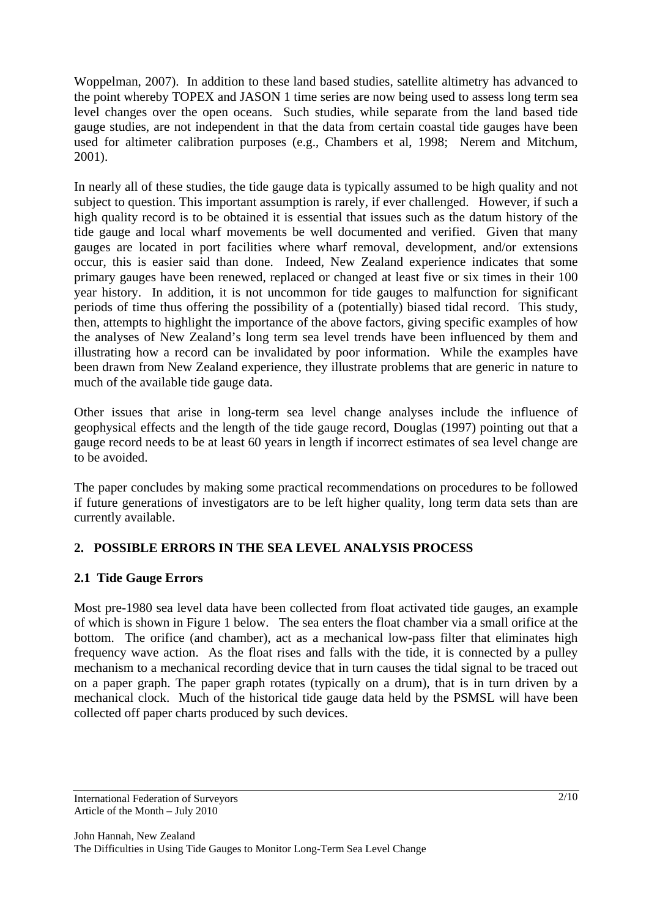Woppelman, 2007). In addition to these land based studies, satellite altimetry has advanced to the point whereby TOPEX and JASON 1 time series are now being used to assess long term sea level changes over the open oceans. Such studies, while separate from the land based tide gauge studies, are not independent in that the data from certain coastal tide gauges have been used for altimeter calibration purposes (e.g., Chambers et al, 1998; Nerem and Mitchum, 2001).

In nearly all of these studies, the tide gauge data is typically assumed to be high quality and not subject to question. This important assumption is rarely, if ever challenged. However, if such a high quality record is to be obtained it is essential that issues such as the datum history of the tide gauge and local wharf movements be well documented and verified. Given that many gauges are located in port facilities where wharf removal, development, and/or extensions occur, this is easier said than done. Indeed, New Zealand experience indicates that some primary gauges have been renewed, replaced or changed at least five or six times in their 100 year history. In addition, it is not uncommon for tide gauges to malfunction for significant periods of time thus offering the possibility of a (potentially) biased tidal record. This study, then, attempts to highlight the importance of the above factors, giving specific examples of how the analyses of New Zealand's long term sea level trends have been influenced by them and illustrating how a record can be invalidated by poor information. While the examples have been drawn from New Zealand experience, they illustrate problems that are generic in nature to much of the available tide gauge data.

Other issues that arise in long-term sea level change analyses include the influence of geophysical effects and the length of the tide gauge record, Douglas (1997) pointing out that a gauge record needs to be at least 60 years in length if incorrect estimates of sea level change are to be avoided.

The paper concludes by making some practical recommendations on procedures to be followed if future generations of investigators are to be left higher quality, long term data sets than are currently available.

# **2. POSSIBLE ERRORS IN THE SEA LEVEL ANALYSIS PROCESS**

# **2.1 Tide Gauge Errors**

Most pre-1980 sea level data have been collected from float activated tide gauges, an example of which is shown in Figure 1 below. The sea enters the float chamber via a small orifice at the bottom. The orifice (and chamber), act as a mechanical low-pass filter that eliminates high frequency wave action. As the float rises and falls with the tide, it is connected by a pulley mechanism to a mechanical recording device that in turn causes the tidal signal to be traced out on a paper graph. The paper graph rotates (typically on a drum), that is in turn driven by a mechanical clock. Much of the historical tide gauge data held by the PSMSL will have been collected off paper charts produced by such devices.

International Federation of Surveyors Article of the Month – July 2010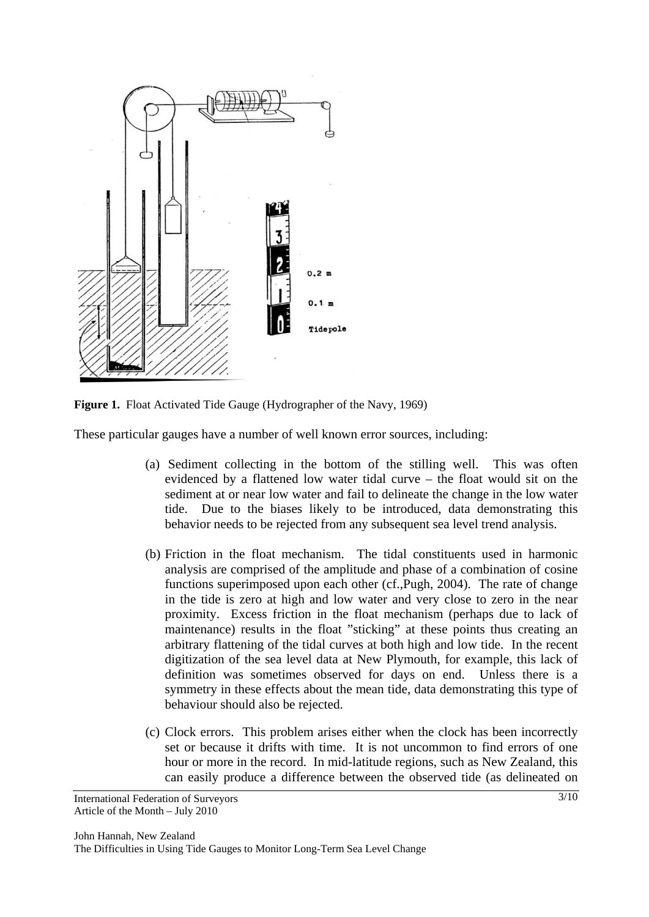

**Figure 1.** Float Activated Tide Gauge (Hydrographer of the Navy, 1969)

These particular gauges have a number of well known error sources, including:

- (a) Sediment collecting in the bottom of the stilling well. This was often evidenced by a flattened low water tidal curve – the float would sit on the sediment at or near low water and fail to delineate the change in the low water tide. Due to the biases likely to be introduced, data demonstrating this behavior needs to be rejected from any subsequent sea level trend analysis.
- (b) Friction in the float mechanism. The tidal constituents used in harmonic analysis are comprised of the amplitude and phase of a combination of cosine functions superimposed upon each other (cf.,Pugh, 2004). The rate of change in the tide is zero at high and low water and very close to zero in the near proximity. Excess friction in the float mechanism (perhaps due to lack of maintenance) results in the float "sticking" at these points thus creating an arbitrary flattening of the tidal curves at both high and low tide. In the recent digitization of the sea level data at New Plymouth, for example, this lack of definition was sometimes observed for days on end. Unless there is a symmetry in these effects about the mean tide, data demonstrating this type of behaviour should also be rejected.
- (c) Clock errors. This problem arises either when the clock has been incorrectly set or because it drifts with time. It is not uncommon to find errors of one hour or more in the record. In mid-latitude regions, such as New Zealand, this can easily produce a difference between the observed tide (as delineated on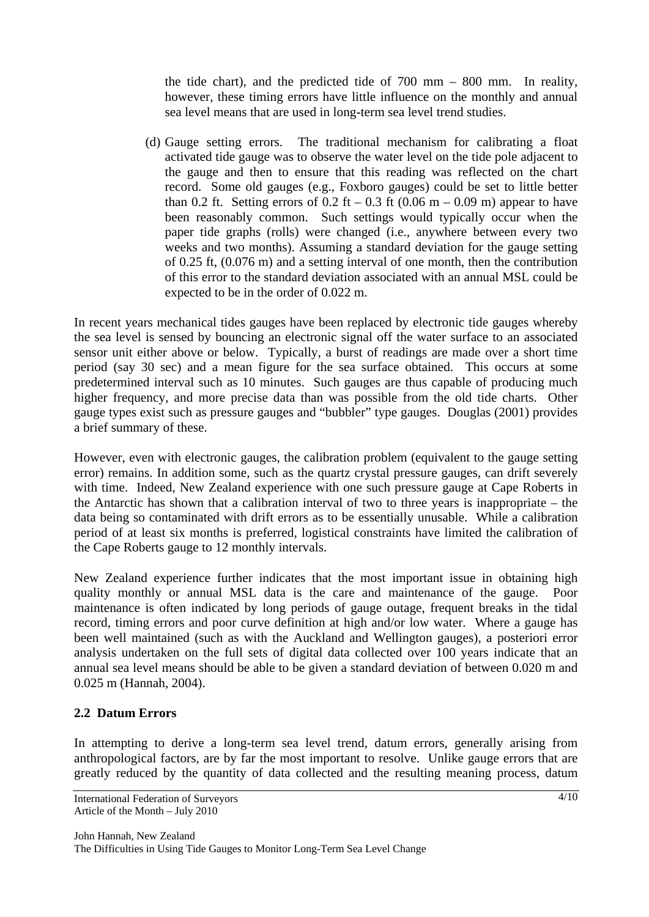the tide chart), and the predicted tide of 700 mm – 800 mm. In reality, however, these timing errors have little influence on the monthly and annual sea level means that are used in long-term sea level trend studies.

(d) Gauge setting errors. The traditional mechanism for calibrating a float activated tide gauge was to observe the water level on the tide pole adjacent to the gauge and then to ensure that this reading was reflected on the chart record. Some old gauges (e.g., Foxboro gauges) could be set to little better than 0.2 ft. Setting errors of 0.2 ft – 0.3 ft (0.06 m – 0.09 m) appear to have been reasonably common. Such settings would typically occur when the paper tide graphs (rolls) were changed (i.e., anywhere between every two weeks and two months). Assuming a standard deviation for the gauge setting of 0.25 ft, (0.076 m) and a setting interval of one month, then the contribution of this error to the standard deviation associated with an annual MSL could be expected to be in the order of 0.022 m.

In recent years mechanical tides gauges have been replaced by electronic tide gauges whereby the sea level is sensed by bouncing an electronic signal off the water surface to an associated sensor unit either above or below. Typically, a burst of readings are made over a short time period (say 30 sec) and a mean figure for the sea surface obtained. This occurs at some predetermined interval such as 10 minutes. Such gauges are thus capable of producing much higher frequency, and more precise data than was possible from the old tide charts. Other gauge types exist such as pressure gauges and "bubbler" type gauges. Douglas (2001) provides a brief summary of these.

However, even with electronic gauges, the calibration problem (equivalent to the gauge setting error) remains. In addition some, such as the quartz crystal pressure gauges, can drift severely with time. Indeed, New Zealand experience with one such pressure gauge at Cape Roberts in the Antarctic has shown that a calibration interval of two to three years is inappropriate – the data being so contaminated with drift errors as to be essentially unusable. While a calibration period of at least six months is preferred, logistical constraints have limited the calibration of the Cape Roberts gauge to 12 monthly intervals.

New Zealand experience further indicates that the most important issue in obtaining high quality monthly or annual MSL data is the care and maintenance of the gauge. Poor maintenance is often indicated by long periods of gauge outage, frequent breaks in the tidal record, timing errors and poor curve definition at high and/or low water. Where a gauge has been well maintained (such as with the Auckland and Wellington gauges), a posteriori error analysis undertaken on the full sets of digital data collected over 100 years indicate that an annual sea level means should be able to be given a standard deviation of between 0.020 m and 0.025 m (Hannah, 2004).

## **2.2 Datum Errors**

In attempting to derive a long-term sea level trend, datum errors, generally arising from anthropological factors, are by far the most important to resolve. Unlike gauge errors that are greatly reduced by the quantity of data collected and the resulting meaning process, datum

International Federation of Surveyors Article of the Month – July 2010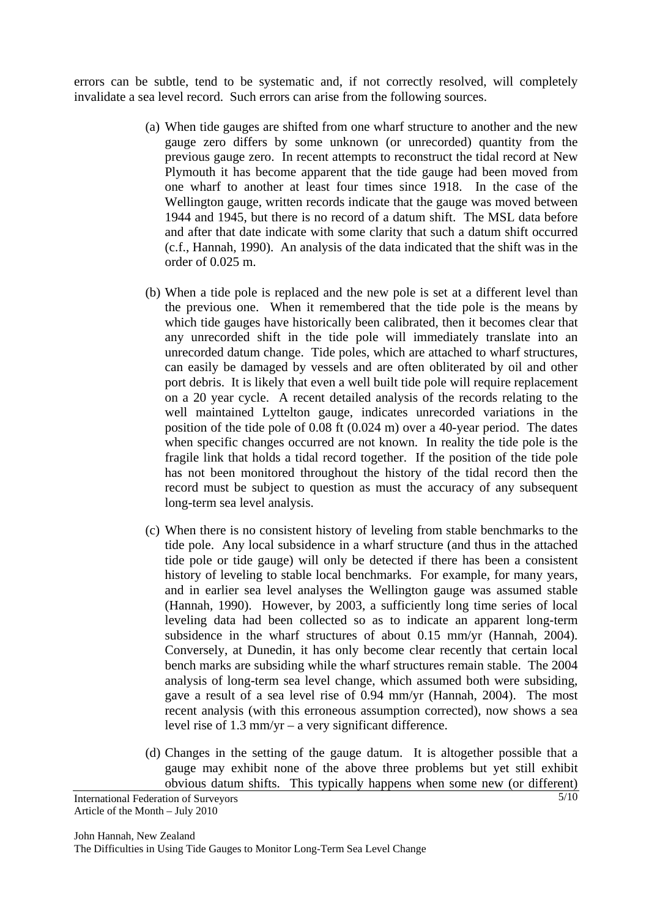errors can be subtle, tend to be systematic and, if not correctly resolved, will completely invalidate a sea level record. Such errors can arise from the following sources.

- (a) When tide gauges are shifted from one wharf structure to another and the new gauge zero differs by some unknown (or unrecorded) quantity from the previous gauge zero. In recent attempts to reconstruct the tidal record at New Plymouth it has become apparent that the tide gauge had been moved from one wharf to another at least four times since 1918. In the case of the Wellington gauge, written records indicate that the gauge was moved between 1944 and 1945, but there is no record of a datum shift. The MSL data before and after that date indicate with some clarity that such a datum shift occurred (c.f., Hannah, 1990). An analysis of the data indicated that the shift was in the order of 0.025 m.
- (b) When a tide pole is replaced and the new pole is set at a different level than the previous one. When it remembered that the tide pole is the means by which tide gauges have historically been calibrated, then it becomes clear that any unrecorded shift in the tide pole will immediately translate into an unrecorded datum change. Tide poles, which are attached to wharf structures, can easily be damaged by vessels and are often obliterated by oil and other port debris. It is likely that even a well built tide pole will require replacement on a 20 year cycle. A recent detailed analysis of the records relating to the well maintained Lyttelton gauge, indicates unrecorded variations in the position of the tide pole of 0.08 ft (0.024 m) over a 40-year period. The dates when specific changes occurred are not known. In reality the tide pole is the fragile link that holds a tidal record together. If the position of the tide pole has not been monitored throughout the history of the tidal record then the record must be subject to question as must the accuracy of any subsequent long-term sea level analysis.
- (c) When there is no consistent history of leveling from stable benchmarks to the tide pole. Any local subsidence in a wharf structure (and thus in the attached tide pole or tide gauge) will only be detected if there has been a consistent history of leveling to stable local benchmarks. For example, for many years, and in earlier sea level analyses the Wellington gauge was assumed stable (Hannah, 1990). However, by 2003, a sufficiently long time series of local leveling data had been collected so as to indicate an apparent long-term subsidence in the wharf structures of about 0.15 mm/yr (Hannah, 2004). Conversely, at Dunedin, it has only become clear recently that certain local bench marks are subsiding while the wharf structures remain stable. The 2004 analysis of long-term sea level change, which assumed both were subsiding, gave a result of a sea level rise of 0.94 mm/yr (Hannah, 2004). The most recent analysis (with this erroneous assumption corrected), now shows a sea level rise of 1.3 mm/yr – a very significant difference.
- (d) Changes in the setting of the gauge datum. It is altogether possible that a gauge may exhibit none of the above three problems but yet still exhibit obvious datum shifts. This typically happens when some new (or different)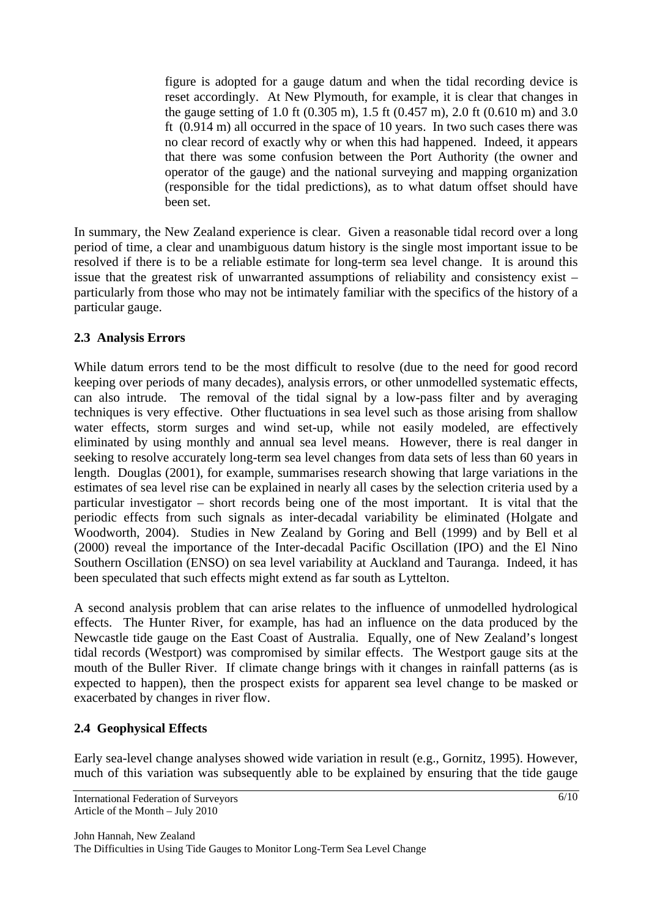figure is adopted for a gauge datum and when the tidal recording device is reset accordingly. At New Plymouth, for example, it is clear that changes in the gauge setting of 1.0 ft (0.305 m), 1.5 ft (0.457 m), 2.0 ft (0.610 m) and 3.0 ft (0.914 m) all occurred in the space of 10 years. In two such cases there was no clear record of exactly why or when this had happened. Indeed, it appears that there was some confusion between the Port Authority (the owner and operator of the gauge) and the national surveying and mapping organization (responsible for the tidal predictions), as to what datum offset should have been set.

In summary, the New Zealand experience is clear. Given a reasonable tidal record over a long period of time, a clear and unambiguous datum history is the single most important issue to be resolved if there is to be a reliable estimate for long-term sea level change. It is around this issue that the greatest risk of unwarranted assumptions of reliability and consistency exist – particularly from those who may not be intimately familiar with the specifics of the history of a particular gauge.

# **2.3 Analysis Errors**

While datum errors tend to be the most difficult to resolve (due to the need for good record keeping over periods of many decades), analysis errors, or other unmodelled systematic effects, can also intrude. The removal of the tidal signal by a low-pass filter and by averaging techniques is very effective. Other fluctuations in sea level such as those arising from shallow water effects, storm surges and wind set-up, while not easily modeled, are effectively eliminated by using monthly and annual sea level means. However, there is real danger in seeking to resolve accurately long-term sea level changes from data sets of less than 60 years in length. Douglas (2001), for example, summarises research showing that large variations in the estimates of sea level rise can be explained in nearly all cases by the selection criteria used by a particular investigator – short records being one of the most important. It is vital that the periodic effects from such signals as inter-decadal variability be eliminated (Holgate and Woodworth, 2004). Studies in New Zealand by Goring and Bell (1999) and by Bell et al (2000) reveal the importance of the Inter-decadal Pacific Oscillation (IPO) and the El Nino Southern Oscillation (ENSO) on sea level variability at Auckland and Tauranga. Indeed, it has been speculated that such effects might extend as far south as Lyttelton.

A second analysis problem that can arise relates to the influence of unmodelled hydrological effects. The Hunter River, for example, has had an influence on the data produced by the Newcastle tide gauge on the East Coast of Australia. Equally, one of New Zealand's longest tidal records (Westport) was compromised by similar effects. The Westport gauge sits at the mouth of the Buller River. If climate change brings with it changes in rainfall patterns (as is expected to happen), then the prospect exists for apparent sea level change to be masked or exacerbated by changes in river flow.

# **2.4 Geophysical Effects**

Early sea-level change analyses showed wide variation in result (e.g., Gornitz, 1995). However, much of this variation was subsequently able to be explained by ensuring that the tide gauge

International Federation of Surveyors Article of the Month – July 2010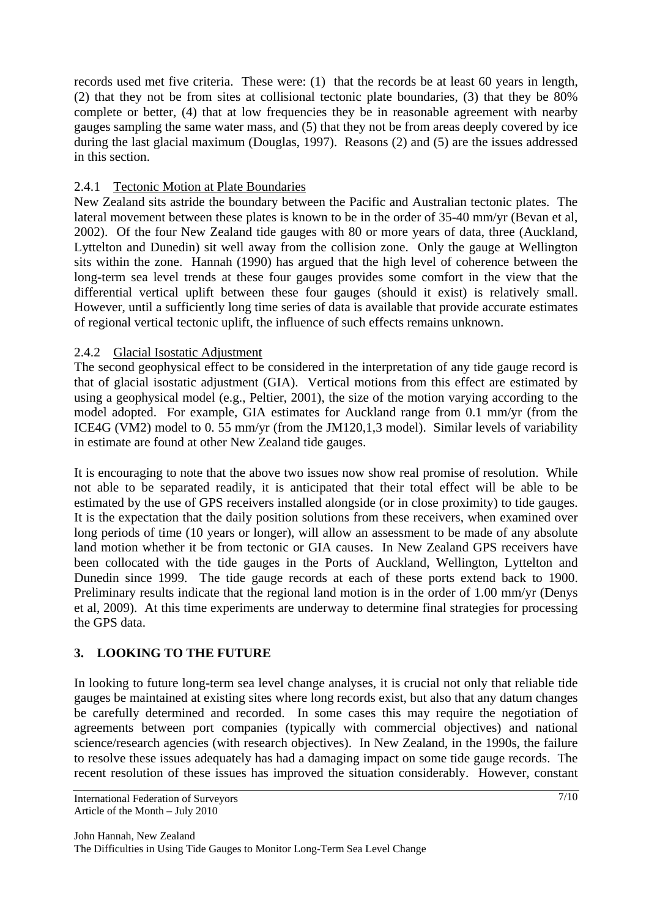records used met five criteria. These were: (1) that the records be at least 60 years in length, (2) that they not be from sites at collisional tectonic plate boundaries, (3) that they be 80% complete or better, (4) that at low frequencies they be in reasonable agreement with nearby gauges sampling the same water mass, and (5) that they not be from areas deeply covered by ice during the last glacial maximum (Douglas, 1997). Reasons (2) and (5) are the issues addressed in this section.

#### 2.4.1 Tectonic Motion at Plate Boundaries

New Zealand sits astride the boundary between the Pacific and Australian tectonic plates. The lateral movement between these plates is known to be in the order of 35-40 mm/yr (Bevan et al, 2002). Of the four New Zealand tide gauges with 80 or more years of data, three (Auckland, Lyttelton and Dunedin) sit well away from the collision zone. Only the gauge at Wellington sits within the zone. Hannah (1990) has argued that the high level of coherence between the long-term sea level trends at these four gauges provides some comfort in the view that the differential vertical uplift between these four gauges (should it exist) is relatively small. However, until a sufficiently long time series of data is available that provide accurate estimates of regional vertical tectonic uplift, the influence of such effects remains unknown.

## 2.4.2 Glacial Isostatic Adjustment

The second geophysical effect to be considered in the interpretation of any tide gauge record is that of glacial isostatic adjustment (GIA). Vertical motions from this effect are estimated by using a geophysical model (e.g., Peltier, 2001), the size of the motion varying according to the model adopted. For example, GIA estimates for Auckland range from 0.1 mm/yr (from the ICE4G (VM2) model to 0. 55 mm/yr (from the JM120,1,3 model). Similar levels of variability in estimate are found at other New Zealand tide gauges.

It is encouraging to note that the above two issues now show real promise of resolution. While not able to be separated readily, it is anticipated that their total effect will be able to be estimated by the use of GPS receivers installed alongside (or in close proximity) to tide gauges. It is the expectation that the daily position solutions from these receivers, when examined over long periods of time (10 years or longer), will allow an assessment to be made of any absolute land motion whether it be from tectonic or GIA causes. In New Zealand GPS receivers have been collocated with the tide gauges in the Ports of Auckland, Wellington, Lyttelton and Dunedin since 1999. The tide gauge records at each of these ports extend back to 1900. Preliminary results indicate that the regional land motion is in the order of 1.00 mm/yr (Denys et al, 2009). At this time experiments are underway to determine final strategies for processing the GPS data.

## **3. LOOKING TO THE FUTURE**

In looking to future long-term sea level change analyses, it is crucial not only that reliable tide gauges be maintained at existing sites where long records exist, but also that any datum changes be carefully determined and recorded. In some cases this may require the negotiation of agreements between port companies (typically with commercial objectives) and national science/research agencies (with research objectives). In New Zealand, in the 1990s, the failure to resolve these issues adequately has had a damaging impact on some tide gauge records. The recent resolution of these issues has improved the situation considerably. However, constant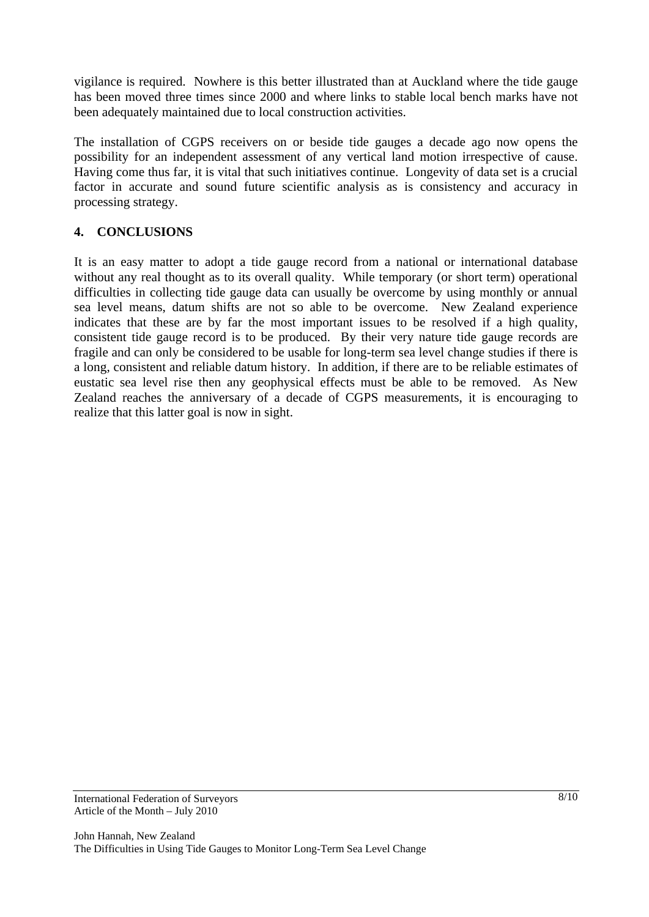vigilance is required. Nowhere is this better illustrated than at Auckland where the tide gauge has been moved three times since 2000 and where links to stable local bench marks have not been adequately maintained due to local construction activities.

The installation of CGPS receivers on or beside tide gauges a decade ago now opens the possibility for an independent assessment of any vertical land motion irrespective of cause. Having come thus far, it is vital that such initiatives continue. Longevity of data set is a crucial factor in accurate and sound future scientific analysis as is consistency and accuracy in processing strategy.

#### **4. CONCLUSIONS**

It is an easy matter to adopt a tide gauge record from a national or international database without any real thought as to its overall quality. While temporary (or short term) operational difficulties in collecting tide gauge data can usually be overcome by using monthly or annual sea level means, datum shifts are not so able to be overcome. New Zealand experience indicates that these are by far the most important issues to be resolved if a high quality, consistent tide gauge record is to be produced. By their very nature tide gauge records are fragile and can only be considered to be usable for long-term sea level change studies if there is a long, consistent and reliable datum history. In addition, if there are to be reliable estimates of eustatic sea level rise then any geophysical effects must be able to be removed. As New Zealand reaches the anniversary of a decade of CGPS measurements, it is encouraging to realize that this latter goal is now in sight.

International Federation of Surveyors Article of the Month – July 2010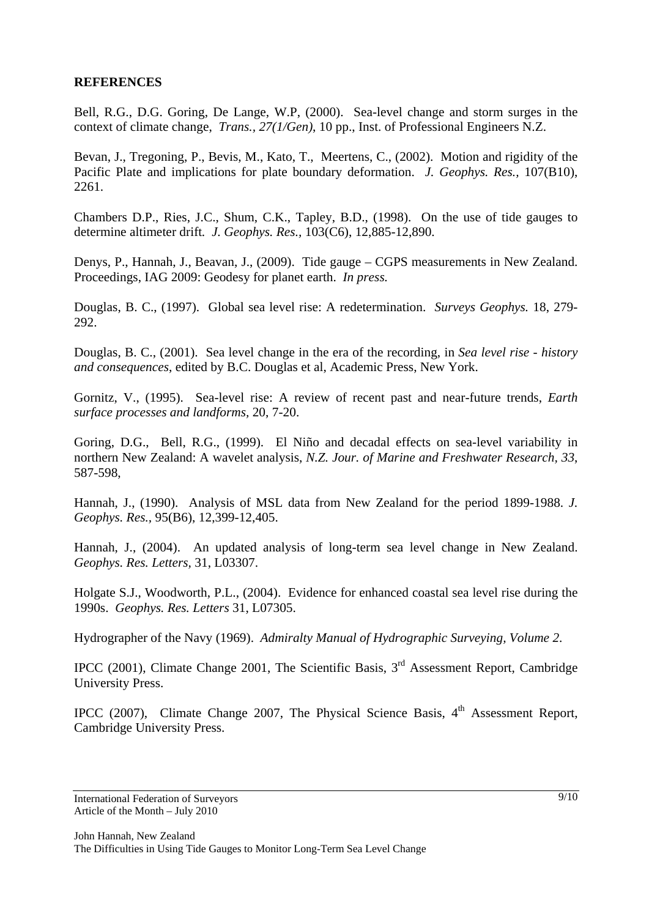#### **REFERENCES**

Bell, R.G., D.G. Goring, De Lange, W.P, (2000). Sea-level change and storm surges in the context of climate change, *Trans., 27(1/Gen)*, 10 pp., Inst. of Professional Engineers N.Z.

Bevan, J., Tregoning, P., Bevis, M., Kato, T., Meertens, C., (2002). Motion and rigidity of the Pacific Plate and implications for plate boundary deformation. *J. Geophys. Res.,* 107(B10), 2261.

Chambers D.P., Ries, J.C., Shum, C.K., Tapley, B.D., (1998). On the use of tide gauges to determine altimeter drift*. J. Geophys. Res.,* 103(C6), 12,885-12,890.

Denys, P., Hannah, J., Beavan, J., (2009). Tide gauge – CGPS measurements in New Zealand. Proceedings, IAG 2009: Geodesy for planet earth. *In press.*

Douglas, B. C., (1997). Global sea level rise: A redetermination. *Surveys Geophys.* 18, 279- 292.

Douglas, B. C., (2001). Sea level change in the era of the recording, in *Sea level rise - history and consequences*, edited by B.C. Douglas et al, Academic Press, New York.

Gornitz, V., (1995). Sea-level rise: A review of recent past and near-future trends, *Earth surface processes and landforms,* 20, 7-20.

Goring, D.G., Bell, R.G., (1999). El Niño and decadal effects on sea-level variability in northern New Zealand: A wavelet analysis, *N.Z. Jour. of Marine and Freshwater Research, 33*, 587-598,

Hannah, J., (1990). Analysis of MSL data from New Zealand for the period 1899-1988. *J. Geophys. Res.,* 95(B6), 12,399-12,405.

Hannah, J., (2004). An updated analysis of long-term sea level change in New Zealand. *Geophys. Res. Letters,* 31, L03307.

Holgate S.J., Woodworth, P.L., (2004). Evidence for enhanced coastal sea level rise during the 1990s. *Geophys. Res. Letters* 31, L07305.

Hydrographer of the Navy (1969). *Admiralty Manual of Hydrographic Surveying, Volume 2*.

IPCC (2001), Climate Change 2001, The Scientific Basis, 3rd Assessment Report, Cambridge University Press.

IPCC (2007), Climate Change 2007, The Physical Science Basis,  $4<sup>th</sup>$  Assessment Report, Cambridge University Press.

International Federation of Surveyors Article of the Month – July 2010